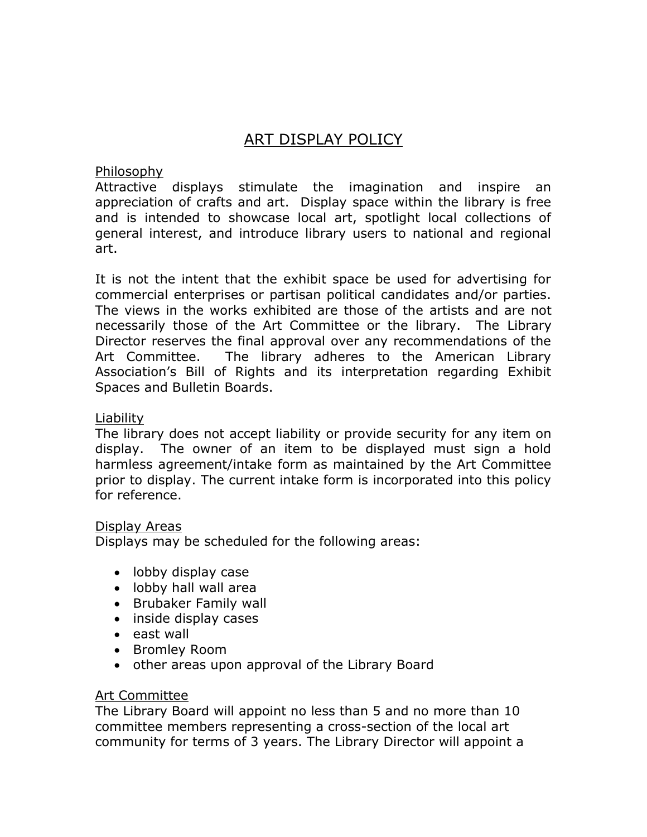# ART DISPLAY POLICY

Philosophy

Attractive displays stimulate the imagination and inspire an appreciation of crafts and art. Display space within the library is free and is intended to showcase local art, spotlight local collections of general interest, and introduce library users to national and regional art.

It is not the intent that the exhibit space be used for advertising for commercial enterprises or partisan political candidates and/or parties. The views in the works exhibited are those of the artists and are not necessarily those of the Art Committee or the library. The Library Director reserves the final approval over any recommendations of the Art Committee. The library adheres to the American Library Association's Bill of Rights and its interpretation regarding Exhibit Spaces and Bulletin Boards.

#### Liability

The library does not accept liability or provide security for any item on display. The owner of an item to be displayed must sign a hold harmless agreement/intake form as maintained by the Art Committee prior to display. The current intake form is incorporated into this policy for reference.

#### Display Areas

Displays may be scheduled for the following areas:

- lobby display case
- lobby hall wall area
- Brubaker Family wall
- inside display cases
- east wall
- Bromley Room
- other areas upon approval of the Library Board

# Art Committee

The Library Board will appoint no less than 5 and no more than 10 committee members representing a cross-section of the local art community for terms of 3 years. The Library Director will appoint a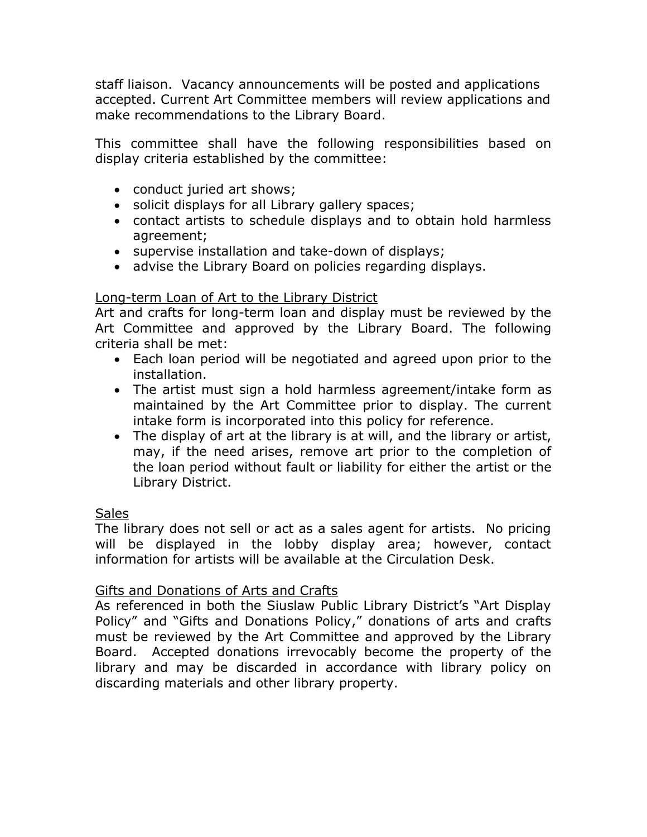staff liaison. Vacancy announcements will be posted and applications accepted. Current Art Committee members will review applications and make recommendations to the Library Board.

This committee shall have the following responsibilities based on display criteria established by the committee:

- conduct juried art shows;
- solicit displays for all Library gallery spaces;
- contact artists to schedule displays and to obtain hold harmless agreement;
- supervise installation and take-down of displays;
- advise the Library Board on policies regarding displays.

# Long-term Loan of Art to the Library District

Art and crafts for long-term loan and display must be reviewed by the Art Committee and approved by the Library Board. The following criteria shall be met:

- Each loan period will be negotiated and agreed upon prior to the installation.
- The artist must sign a hold harmless agreement/intake form as maintained by the Art Committee prior to display. The current intake form is incorporated into this policy for reference.
- The display of art at the library is at will, and the library or artist, may, if the need arises, remove art prior to the completion of the loan period without fault or liability for either the artist or the Library District.

# **Sales**

The library does not sell or act as a sales agent for artists. No pricing will be displayed in the lobby display area; however, contact information for artists will be available at the Circulation Desk.

# Gifts and Donations of Arts and Crafts

As referenced in both the Siuslaw Public Library District's "Art Display Policy" and "Gifts and Donations Policy," donations of arts and crafts must be reviewed by the Art Committee and approved by the Library Board. Accepted donations irrevocably become the property of the library and may be discarded in accordance with library policy on discarding materials and other library property.